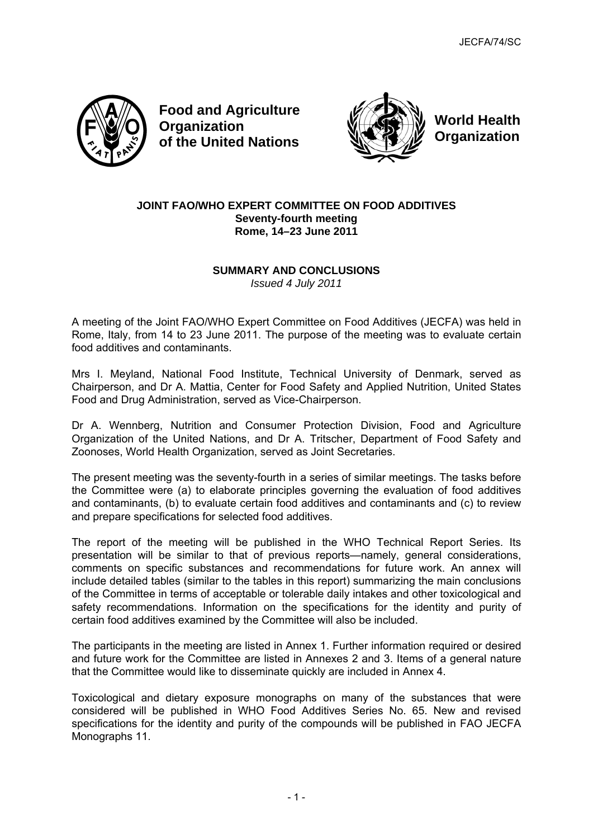

**Food and Agriculture Organization of the United Nations**



**World Health Organization**

## **JOINT FAO/WHO EXPERT COMMITTEE ON FOOD ADDITIVES Seventy-fourth meeting Rome, 14–23 June 2011**

# **SUMMARY AND CONCLUSIONS**

*Issued 4 July 2011* 

A meeting of the Joint FAO/WHO Expert Committee on Food Additives (JECFA) was held in Rome, Italy, from 14 to 23 June 2011. The purpose of the meeting was to evaluate certain food additives and contaminants.

Mrs I. Meyland, National Food Institute, Technical University of Denmark, served as Chairperson, and Dr A. Mattia, Center for Food Safety and Applied Nutrition, United States Food and Drug Administration, served as Vice-Chairperson.

Dr A. Wennberg, Nutrition and Consumer Protection Division, Food and Agriculture Organization of the United Nations, and Dr A. Tritscher, Department of Food Safety and Zoonoses, World Health Organization, served as Joint Secretaries.

The present meeting was the seventy-fourth in a series of similar meetings. The tasks before the Committee were (a) to elaborate principles governing the evaluation of food additives and contaminants, (b) to evaluate certain food additives and contaminants and (c) to review and prepare specifications for selected food additives.

The report of the meeting will be published in the WHO Technical Report Series. Its presentation will be similar to that of previous reports—namely, general considerations, comments on specific substances and recommendations for future work. An annex will include detailed tables (similar to the tables in this report) summarizing the main conclusions of the Committee in terms of acceptable or tolerable daily intakes and other toxicological and safety recommendations. Information on the specifications for the identity and purity of certain food additives examined by the Committee will also be included.

The participants in the meeting are listed in Annex 1. Further information required or desired and future work for the Committee are listed in Annexes 2 and 3. Items of a general nature that the Committee would like to disseminate quickly are included in Annex 4.

Toxicological and dietary exposure monographs on many of the substances that were considered will be published in WHO Food Additives Series No. 65. New and revised specifications for the identity and purity of the compounds will be published in FAO JECFA Monographs 11.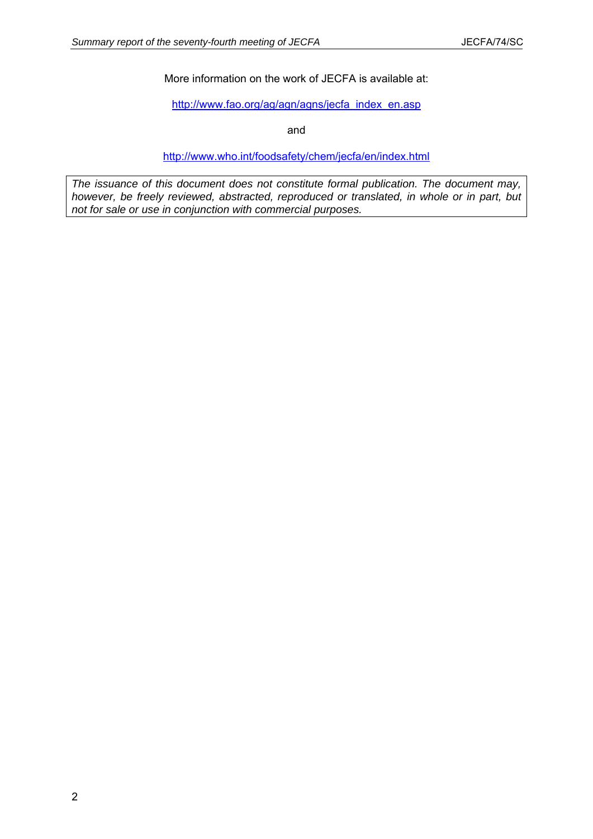More information on the work of JECFA is available at:

[http://www.fao.org/ag/agn/agns/jecfa\\_index\\_en.asp](http://www.fao.org/ag/agn/jecfa/index_en.stm)

and

<http://www.who.int/foodsafety/chem/jecfa/en/index.html>

*The issuance of this document does not constitute formal publication. The document may, however, be freely reviewed, abstracted, reproduced or translated, in whole or in part, but not for sale or use in conjunction with commercial purposes.*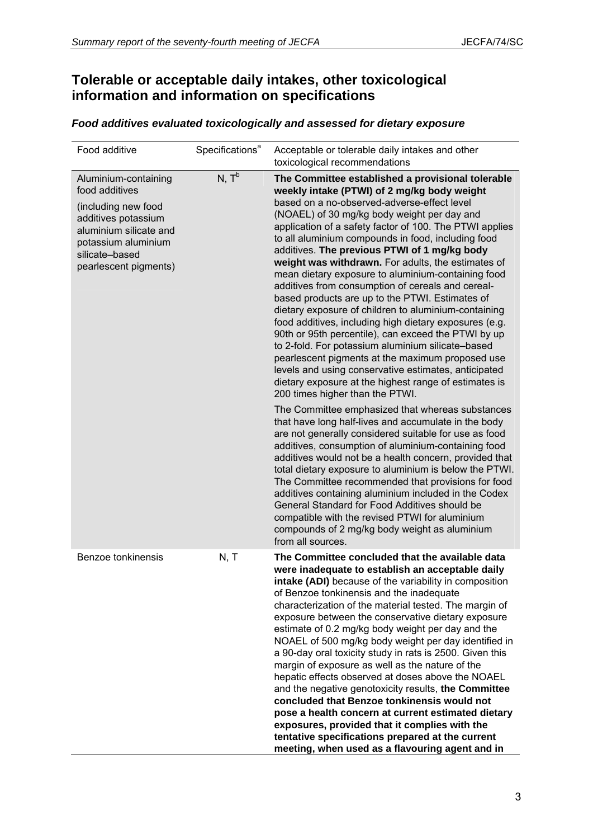# **Tolerable or acceptable daily intakes, other toxicological information and information on specifications**

|  | Food additives evaluated toxicologically and assessed for dietary exposure |
|--|----------------------------------------------------------------------------|
|--|----------------------------------------------------------------------------|

| Food additive                                                                                                                                                                    | Specifications <sup>a</sup> | Acceptable or tolerable daily intakes and other<br>toxicological recommendations                                                                                                                                                                                                                                                                                                                                                                                                                                                                                                                                                                                                                                                                                                                                                                                                                                                                                                                                                                                                                                                                                                                                                                                                                                                                                                                                                                                                                                                                                                                                                                                 |
|----------------------------------------------------------------------------------------------------------------------------------------------------------------------------------|-----------------------------|------------------------------------------------------------------------------------------------------------------------------------------------------------------------------------------------------------------------------------------------------------------------------------------------------------------------------------------------------------------------------------------------------------------------------------------------------------------------------------------------------------------------------------------------------------------------------------------------------------------------------------------------------------------------------------------------------------------------------------------------------------------------------------------------------------------------------------------------------------------------------------------------------------------------------------------------------------------------------------------------------------------------------------------------------------------------------------------------------------------------------------------------------------------------------------------------------------------------------------------------------------------------------------------------------------------------------------------------------------------------------------------------------------------------------------------------------------------------------------------------------------------------------------------------------------------------------------------------------------------------------------------------------------------|
| Aluminium-containing<br>food additives<br>(including new food<br>additives potassium<br>aluminium silicate and<br>potassium aluminium<br>silicate-based<br>pearlescent pigments) | $N, T^b$                    | The Committee established a provisional tolerable<br>weekly intake (PTWI) of 2 mg/kg body weight<br>based on a no-observed-adverse-effect level<br>(NOAEL) of 30 mg/kg body weight per day and<br>application of a safety factor of 100. The PTWI applies<br>to all aluminium compounds in food, including food<br>additives. The previous PTWI of 1 mg/kg body<br>weight was withdrawn. For adults, the estimates of<br>mean dietary exposure to aluminium-containing food<br>additives from consumption of cereals and cereal-<br>based products are up to the PTWI. Estimates of<br>dietary exposure of children to aluminium-containing<br>food additives, including high dietary exposures (e.g.<br>90th or 95th percentile), can exceed the PTWI by up<br>to 2-fold. For potassium aluminium silicate-based<br>pearlescent pigments at the maximum proposed use<br>levels and using conservative estimates, anticipated<br>dietary exposure at the highest range of estimates is<br>200 times higher than the PTWI.<br>The Committee emphasized that whereas substances<br>that have long half-lives and accumulate in the body<br>are not generally considered suitable for use as food<br>additives, consumption of aluminium-containing food<br>additives would not be a health concern, provided that<br>total dietary exposure to aluminium is below the PTWI.<br>The Committee recommended that provisions for food<br>additives containing aluminium included in the Codex<br>General Standard for Food Additives should be<br>compatible with the revised PTWI for aluminium<br>compounds of 2 mg/kg body weight as aluminium<br>from all sources. |
| Benzoe tonkinensis                                                                                                                                                               | N, T                        | The Committee concluded that the available data<br>were inadequate to establish an acceptable daily<br>intake (ADI) because of the variability in composition<br>of Benzoe tonkinensis and the inadequate<br>characterization of the material tested. The margin of<br>exposure between the conservative dietary exposure<br>estimate of 0.2 mg/kg body weight per day and the<br>NOAEL of 500 mg/kg body weight per day identified in<br>a 90-day oral toxicity study in rats is 2500. Given this<br>margin of exposure as well as the nature of the<br>hepatic effects observed at doses above the NOAEL<br>and the negative genotoxicity results, the Committee<br>concluded that Benzoe tonkinensis would not<br>pose a health concern at current estimated dietary<br>exposures, provided that it complies with the<br>tentative specifications prepared at the current<br>meeting, when used as a flavouring agent and in                                                                                                                                                                                                                                                                                                                                                                                                                                                                                                                                                                                                                                                                                                                                  |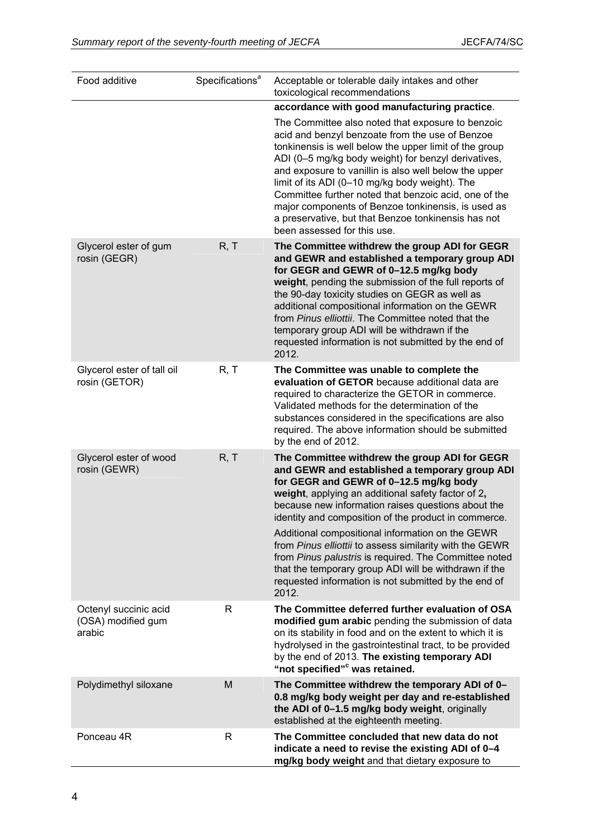| Food additive                                         | Specifications <sup>a</sup> | Acceptable or tolerable daily intakes and other<br>toxicological recommendations                                                                                                                                                                                                                                                                                                                                                                                                                                                                                                                                |
|-------------------------------------------------------|-----------------------------|-----------------------------------------------------------------------------------------------------------------------------------------------------------------------------------------------------------------------------------------------------------------------------------------------------------------------------------------------------------------------------------------------------------------------------------------------------------------------------------------------------------------------------------------------------------------------------------------------------------------|
|                                                       |                             | accordance with good manufacturing practice.                                                                                                                                                                                                                                                                                                                                                                                                                                                                                                                                                                    |
|                                                       |                             | The Committee also noted that exposure to benzoic<br>acid and benzyl benzoate from the use of Benzoe<br>tonkinensis is well below the upper limit of the group<br>ADI (0-5 mg/kg body weight) for benzyl derivatives,<br>and exposure to vanillin is also well below the upper<br>limit of its ADI (0-10 mg/kg body weight). The<br>Committee further noted that benzoic acid, one of the<br>major components of Benzoe tonkinensis, is used as<br>a preservative, but that Benzoe tonkinensis has not<br>been assessed for this use.                                                                           |
| Glycerol ester of gum<br>rosin (GEGR)                 | R, T                        | The Committee withdrew the group ADI for GEGR<br>and GEWR and established a temporary group ADI<br>for GEGR and GEWR of 0-12.5 mg/kg body<br>weight, pending the submission of the full reports of<br>the 90-day toxicity studies on GEGR as well as<br>additional compositional information on the GEWR<br>from Pinus elliottii. The Committee noted that the<br>temporary group ADI will be withdrawn if the<br>requested information is not submitted by the end of<br>2012.                                                                                                                                 |
| Glycerol ester of tall oil<br>rosin (GETOR)           | R, T                        | The Committee was unable to complete the<br>evaluation of GETOR because additional data are<br>required to characterize the GETOR in commerce.<br>Validated methods for the determination of the<br>substances considered in the specifications are also<br>required. The above information should be submitted<br>by the end of 2012.                                                                                                                                                                                                                                                                          |
| Glycerol ester of wood<br>rosin (GEWR)                | R, T                        | The Committee withdrew the group ADI for GEGR<br>and GEWR and established a temporary group ADI<br>for GEGR and GEWR of 0-12.5 mg/kg body<br>weight, applying an additional safety factor of 2,<br>because new information raises questions about the<br>identity and composition of the product in commerce.<br>Additional compositional information on the GEWR<br>from Pinus elliottii to assess similarity with the GEWR<br>from Pinus palustris is required. The Committee noted<br>that the temporary group ADI will be withdrawn if the<br>requested information is not submitted by the end of<br>2012. |
| Octenyl succinic acid<br>(OSA) modified gum<br>arabic | R                           | The Committee deferred further evaluation of OSA<br>modified gum arabic pending the submission of data<br>on its stability in food and on the extent to which it is<br>hydrolysed in the gastrointestinal tract, to be provided<br>by the end of 2013. The existing temporary ADI<br>"not specified" <sup>c</sup> was retained.                                                                                                                                                                                                                                                                                 |
| Polydimethyl siloxane                                 | M                           | The Committee withdrew the temporary ADI of 0-<br>0.8 mg/kg body weight per day and re-established<br>the ADI of 0-1.5 mg/kg body weight, originally<br>established at the eighteenth meeting.                                                                                                                                                                                                                                                                                                                                                                                                                  |
| Ponceau 4R                                            | R                           | The Committee concluded that new data do not<br>indicate a need to revise the existing ADI of 0-4<br>mg/kg body weight and that dietary exposure to                                                                                                                                                                                                                                                                                                                                                                                                                                                             |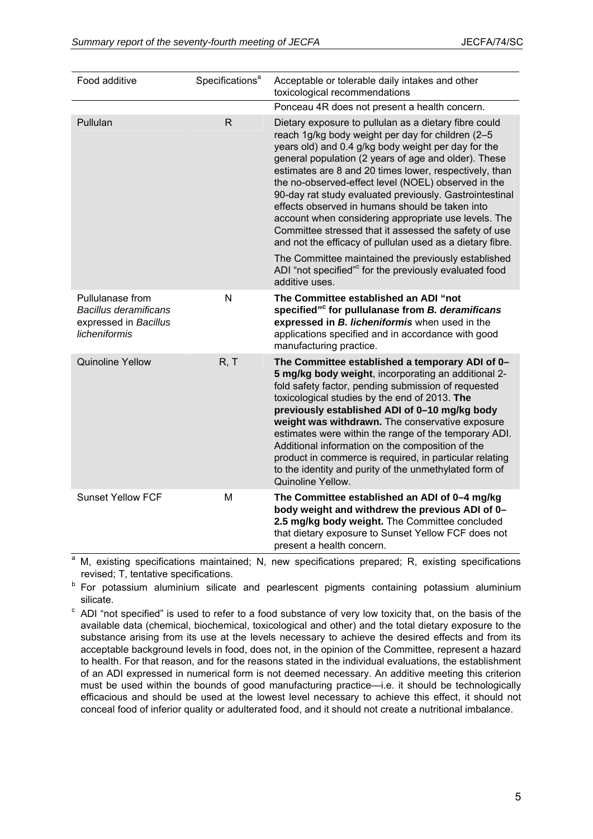| Food additive                                                                              | Specifications <sup>a</sup> | Acceptable or tolerable daily intakes and other<br>toxicological recommendations                                                                                                                                                                                                                                                                                                                                                                                                                                                                                                                                                       |
|--------------------------------------------------------------------------------------------|-----------------------------|----------------------------------------------------------------------------------------------------------------------------------------------------------------------------------------------------------------------------------------------------------------------------------------------------------------------------------------------------------------------------------------------------------------------------------------------------------------------------------------------------------------------------------------------------------------------------------------------------------------------------------------|
|                                                                                            |                             | Ponceau 4R does not present a health concern.                                                                                                                                                                                                                                                                                                                                                                                                                                                                                                                                                                                          |
| Pullulan                                                                                   | $\overline{\mathsf{R}}$     | Dietary exposure to pullulan as a dietary fibre could<br>reach 1g/kg body weight per day for children (2-5<br>years old) and 0.4 g/kg body weight per day for the<br>general population (2 years of age and older). These<br>estimates are 8 and 20 times lower, respectively, than<br>the no-observed-effect level (NOEL) observed in the<br>90-day rat study evaluated previously. Gastrointestinal<br>effects observed in humans should be taken into<br>account when considering appropriate use levels. The<br>Committee stressed that it assessed the safety of use<br>and not the efficacy of pullulan used as a dietary fibre. |
|                                                                                            |                             | The Committee maintained the previously established<br>ADI "not specified" <sup>c</sup> for the previously evaluated food<br>additive uses.                                                                                                                                                                                                                                                                                                                                                                                                                                                                                            |
| Pullulanase from<br><b>Bacillus deramificans</b><br>expressed in Bacillus<br>licheniformis | N                           | The Committee established an ADI "not<br>specified" <sup>c</sup> for pullulanase from B. deramificans<br>expressed in B. licheniformis when used in the<br>applications specified and in accordance with good<br>manufacturing practice.                                                                                                                                                                                                                                                                                                                                                                                               |
| <b>Quinoline Yellow</b>                                                                    | R, T                        | The Committee established a temporary ADI of 0-<br>5 mg/kg body weight, incorporating an additional 2-<br>fold safety factor, pending submission of requested<br>toxicological studies by the end of 2013. The<br>previously established ADI of 0-10 mg/kg body<br>weight was withdrawn. The conservative exposure<br>estimates were within the range of the temporary ADI.<br>Additional information on the composition of the<br>product in commerce is required, in particular relating<br>to the identity and purity of the unmethylated form of<br>Quinoline Yellow.                                                              |
| <b>Sunset Yellow FCF</b>                                                                   | M                           | The Committee established an ADI of 0-4 mg/kg<br>body weight and withdrew the previous ADI of 0-<br>2.5 mg/kg body weight. The Committee concluded<br>that dietary exposure to Sunset Yellow FCF does not<br>present a health concern.                                                                                                                                                                                                                                                                                                                                                                                                 |

<sup>a</sup> M, existing specifications maintained; N, new specifications prepared; R, existing specifications revised; T, tentative specifications.

b For potassium aluminium silicate and pearlescent pigments containing potassium aluminium

silicate.<br><sup>c</sup> ADI "not specified" is used to refer to a food substance of very low toxicity that, on the basis of the available data (chemical, biochemical, toxicological and other) and the total dietary exposure to the substance arising from its use at the levels necessary to achieve the desired effects and from its acceptable background levels in food, does not, in the opinion of the Committee, represent a hazard to health. For that reason, and for the reasons stated in the individual evaluations, the establishment of an ADI expressed in numerical form is not deemed necessary. An additive meeting this criterion must be used within the bounds of good manufacturing practice—i.e. it should be technologically efficacious and should be used at the lowest level necessary to achieve this effect, it should not conceal food of inferior quality or adulterated food, and it should not create a nutritional imbalance.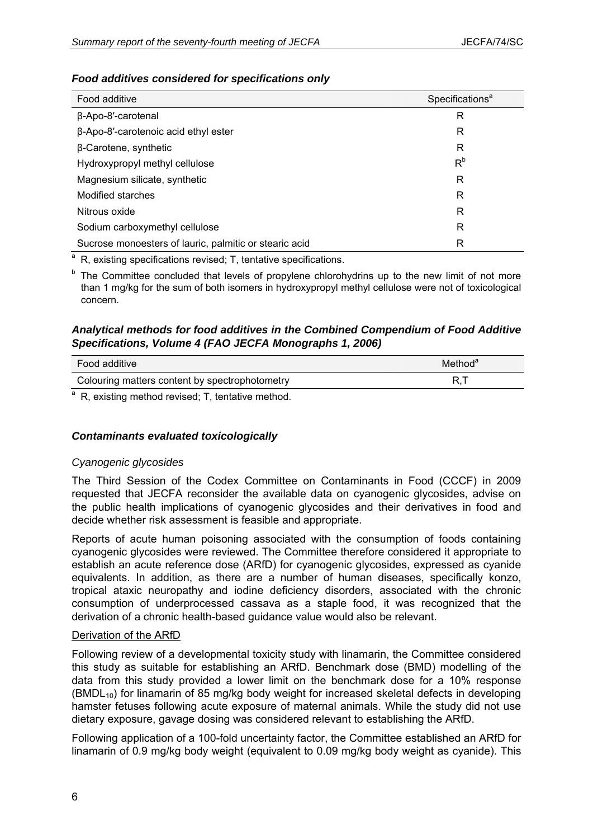## *Food additives considered for specifications only*

| Food additive                                          | Specifications <sup>a</sup> |
|--------------------------------------------------------|-----------------------------|
| β-Apo-8'-carotenal                                     | R                           |
| β-Apo-8'-carotenoic acid ethyl ester                   | R                           |
| $\beta$ -Carotene, synthetic                           | R                           |
| Hydroxypropyl methyl cellulose                         | R <sup>b</sup>              |
| Magnesium silicate, synthetic                          | R                           |
| Modified starches                                      | R                           |
| Nitrous oxide                                          | R                           |
| Sodium carboxymethyl cellulose                         | R                           |
| Sucrose monoesters of lauric, palmitic or stearic acid | R                           |

<sup>a</sup> R, existing specifications revised: T, tentative specifications.

<sup>b</sup> The Committee concluded that levels of propylene chlorohydrins up to the new limit of not more than 1 mg/kg for the sum of both isomers in hydroxypropyl methyl cellulose were not of toxicological concern.

## *Analytical methods for food additives in the Combined Compendium of Food Additive Specifications, Volume 4 (FAO JECFA Monographs 1, 2006)*

| Food additive                                  | Method <sup>a</sup> |
|------------------------------------------------|---------------------|
| Colouring matters content by spectrophotometry |                     |

<sup>a</sup> R, existing method revised; T, tentative method.

## *Contaminants evaluated toxicologically*

## *Cyanogenic glycosides*

The Third Session of the Codex Committee on Contaminants in Food (CCCF) in 2009 requested that JECFA reconsider the available data on cyanogenic glycosides, advise on the public health implications of cyanogenic glycosides and their derivatives in food and decide whether risk assessment is feasible and appropriate.

Reports of acute human poisoning associated with the consumption of foods containing cyanogenic glycosides were reviewed. The Committee therefore considered it appropriate to establish an acute reference dose (ARfD) for cyanogenic glycosides, expressed as cyanide equivalents. In addition, as there are a number of human diseases, specifically konzo, tropical ataxic neuropathy and iodine deficiency disorders, associated with the chronic consumption of underprocessed cassava as a staple food, it was recognized that the derivation of a chronic health-based guidance value would also be relevant.

## Derivation of the ARfD

Following review of a developmental toxicity study with linamarin, the Committee considered this study as suitable for establishing an ARfD. Benchmark dose (BMD) modelling of the data from this study provided a lower limit on the benchmark dose for a 10% response  $(BMDL_{10})$  for linamarin of 85 mg/kg body weight for increased skeletal defects in developing hamster fetuses following acute exposure of maternal animals. While the study did not use dietary exposure, gavage dosing was considered relevant to establishing the ARfD.

Following application of a 100-fold uncertainty factor, the Committee established an ARfD for linamarin of 0.9 mg/kg body weight (equivalent to 0.09 mg/kg body weight as cyanide). This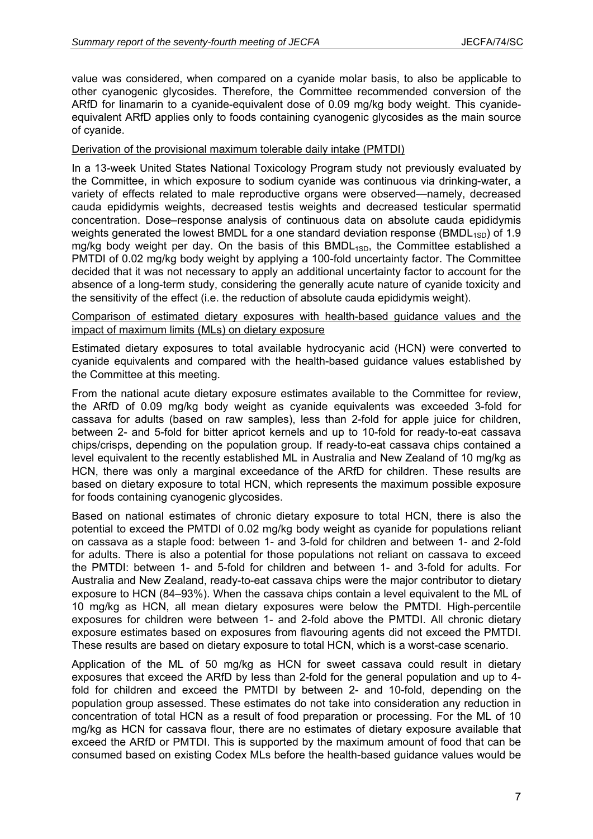value was considered, when compared on a cyanide molar basis, to also be applicable to other cyanogenic glycosides. Therefore, the Committee recommended conversion of the ARfD for linamarin to a cyanide-equivalent dose of 0.09 mg/kg body weight. This cyanideequivalent ARfD applies only to foods containing cyanogenic glycosides as the main source of cyanide.

#### Derivation of the provisional maximum tolerable daily intake (PMTDI)

In a 13-week United States National Toxicology Program study not previously evaluated by the Committee, in which exposure to sodium cyanide was continuous via drinking-water, a variety of effects related to male reproductive organs were observed—namely, decreased cauda epididymis weights, decreased testis weights and decreased testicular spermatid concentration. Dose–response analysis of continuous data on absolute cauda epididymis weights generated the lowest BMDL for a one standard deviation response (BMDL<sub>1SD</sub>) of 1.9 mg/kg body weight per day. On the basis of this  $BMDL_{1SD}$ , the Committee established a PMTDI of 0.02 mg/kg body weight by applying a 100-fold uncertainty factor. The Committee decided that it was not necessary to apply an additional uncertainty factor to account for the absence of a long-term study, considering the generally acute nature of cyanide toxicity and the sensitivity of the effect (i.e. the reduction of absolute cauda epididymis weight).

#### Comparison of estimated dietary exposures with health-based guidance values and the impact of maximum limits (MLs) on dietary exposure

Estimated dietary exposures to total available hydrocyanic acid (HCN) were converted to cyanide equivalents and compared with the health-based guidance values established by the Committee at this meeting.

From the national acute dietary exposure estimates available to the Committee for review, the ARfD of 0.09 mg/kg body weight as cyanide equivalents was exceeded 3-fold for cassava for adults (based on raw samples), less than 2-fold for apple juice for children, between 2- and 5-fold for bitter apricot kernels and up to 10-fold for ready-to-eat cassava chips/crisps, depending on the population group. If ready-to-eat cassava chips contained a level equivalent to the recently established ML in Australia and New Zealand of 10 mg/kg as HCN, there was only a marginal exceedance of the ARfD for children. These results are based on dietary exposure to total HCN, which represents the maximum possible exposure for foods containing cyanogenic glycosides.

Based on national estimates of chronic dietary exposure to total HCN, there is also the potential to exceed the PMTDI of 0.02 mg/kg body weight as cyanide for populations reliant on cassava as a staple food: between 1- and 3-fold for children and between 1- and 2-fold for adults. There is also a potential for those populations not reliant on cassava to exceed the PMTDI: between 1- and 5-fold for children and between 1- and 3-fold for adults. For Australia and New Zealand, ready-to-eat cassava chips were the major contributor to dietary exposure to HCN (84–93%). When the cassava chips contain a level equivalent to the ML of 10 mg/kg as HCN, all mean dietary exposures were below the PMTDI. High-percentile exposures for children were between 1- and 2-fold above the PMTDI. All chronic dietary exposure estimates based on exposures from flavouring agents did not exceed the PMTDI. These results are based on dietary exposure to total HCN, which is a worst-case scenario.

Application of the ML of 50 mg/kg as HCN for sweet cassava could result in dietary exposures that exceed the ARfD by less than 2-fold for the general population and up to 4 fold for children and exceed the PMTDI by between 2- and 10-fold, depending on the population group assessed. These estimates do not take into consideration any reduction in concentration of total HCN as a result of food preparation or processing. For the ML of 10 mg/kg as HCN for cassava flour, there are no estimates of dietary exposure available that exceed the ARfD or PMTDI. This is supported by the maximum amount of food that can be consumed based on existing Codex MLs before the health-based guidance values would be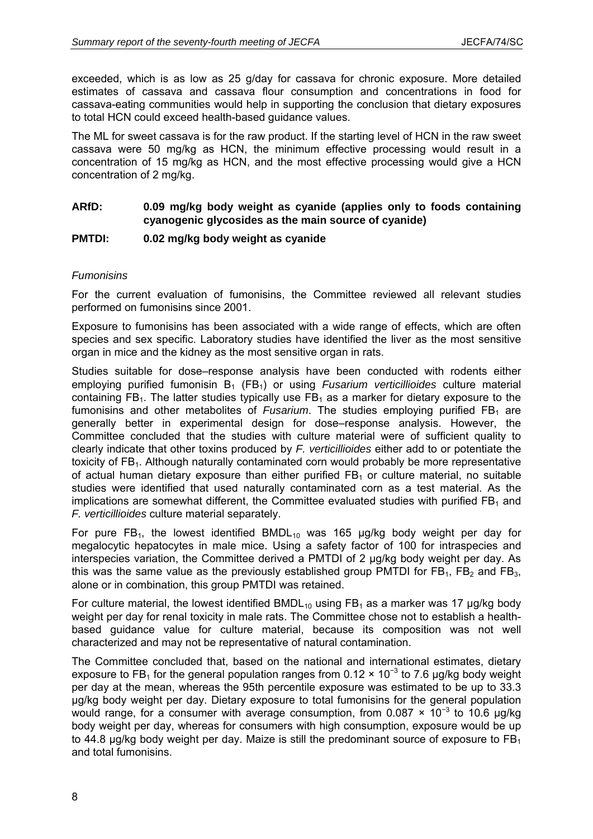exceeded, which is as low as 25 g/day for cassava for chronic exposure. More detailed estimates of cassava and cassava flour consumption and concentrations in food for cassava-eating communities would help in supporting the conclusion that dietary exposures to total HCN could exceed health-based guidance values.

The ML for sweet cassava is for the raw product. If the starting level of HCN in the raw sweet cassava were 50 mg/kg as HCN, the minimum effective processing would result in a concentration of 15 mg/kg as HCN, and the most effective processing would give a HCN concentration of 2 mg/kg.

## **ARfD: 0.09 mg/kg body weight as cyanide (applies only to foods containing cyanogenic glycosides as the main source of cyanide)**

#### **PMTDI: 0.02 mg/kg body weight as cyanide**

#### *Fumonisins*

For the current evaluation of fumonisins, the Committee reviewed all relevant studies performed on fumonisins since 2001.

Exposure to fumonisins has been associated with a wide range of effects, which are often species and sex specific. Laboratory studies have identified the liver as the most sensitive organ in mice and the kidney as the most sensitive organ in rats.

Studies suitable for dose–response analysis have been conducted with rodents either employing purified fumonisin B<sub>1</sub> (FB<sub>1</sub>) or using *Fusarium verticillioides* culture material containing  $FB<sub>1</sub>$ . The latter studies typically use  $FB<sub>1</sub>$  as a marker for dietary exposure to the fumonisins and other metabolites of *Fusarium*. The studies employing purified  $FB<sub>1</sub>$  are generally better in experimental design for dose–response analysis. However, the Committee concluded that the studies with culture material were of sufficient quality to clearly indicate that other toxins produced by *F. verticillioides* either add to or potentiate the toxicity of  $FB<sub>1</sub>$ . Although naturally contaminated corn would probably be more representative of actual human dietary exposure than either purified  $FB<sub>1</sub>$  or culture material, no suitable studies were identified that used naturally contaminated corn as a test material. As the implications are somewhat different, the Committee evaluated studies with purified  $FB<sub>1</sub>$  and *F. verticillioides* culture material separately.

For pure FB<sub>1</sub>, the lowest identified BMDL<sub>10</sub> was 165  $\mu$ g/kg body weight per day for megalocytic hepatocytes in male mice. Using a safety factor of 100 for intraspecies and interspecies variation, the Committee derived a PMTDI of 2 µg/kg body weight per day. As this was the same value as the previously established group PMTDI for  $FB_1$ ,  $FB_2$  and  $FB_3$ , alone or in combination, this group PMTDI was retained.

For culture material, the lowest identified  $BMDL_{10}$  using FB<sub>1</sub> as a marker was 17 µg/kg body weight per day for renal toxicity in male rats. The Committee chose not to establish a healthbased guidance value for culture material, because its composition was not well characterized and may not be representative of natural contamination.

The Committee concluded that, based on the national and international estimates, dietary exposure to FB<sub>1</sub> for the general population ranges from 0.12  $\times$  10<sup>-3</sup> to 7.6 µg/kg body weight per day at the mean, whereas the 95th percentile exposure was estimated to be up to 33.3 μg/kg body weight per day. Dietary exposure to total fumonisins for the general population would range, for a consumer with average consumption, from 0.087  $\times$  10<sup>-3</sup> to 10.6 µg/kg body weight per day, whereas for consumers with high consumption, exposure would be up to 44.8 μg/kg body weight per day. Maize is still the predominant source of exposure to  $FB<sub>1</sub>$ and total fumonisins.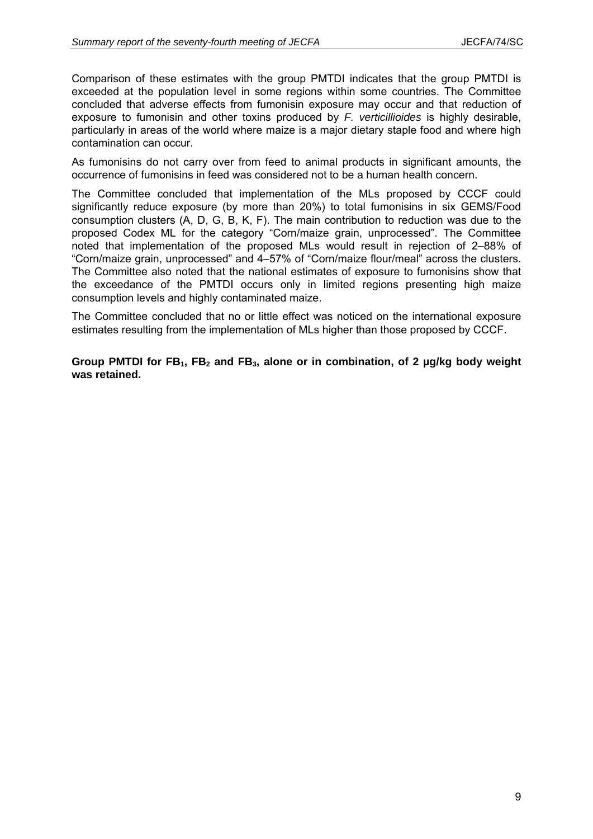Comparison of these estimates with the group PMTDI indicates that the group PMTDI is exceeded at the population level in some regions within some countries. The Committee concluded that adverse effects from fumonisin exposure may occur and that reduction of exposure to fumonisin and other toxins produced by *F. verticillioides* is highly desirable, particularly in areas of the world where maize is a major dietary staple food and where high contamination can occur.

As fumonisins do not carry over from feed to animal products in significant amounts, the occurrence of fumonisins in feed was considered not to be a human health concern.

The Committee concluded that implementation of the MLs proposed by CCCF could significantly reduce exposure (by more than 20%) to total fumonisins in six GEMS/Food consumption clusters (A, D, G, B, K, F). The main contribution to reduction was due to the proposed Codex ML for the category "Corn/maize grain, unprocessed". The Committee noted that implementation of the proposed MLs would result in rejection of 2–88% of "Corn/maize grain, unprocessed" and 4–57% of "Corn/maize flour/meal" across the clusters. The Committee also noted that the national estimates of exposure to fumonisins show that the exceedance of the PMTDI occurs only in limited regions presenting high maize consumption levels and highly contaminated maize.

The Committee concluded that no or little effect was noticed on the international exposure estimates resulting from the implementation of MLs higher than those proposed by CCCF.

Group PMTDI for FB<sub>1</sub>, FB<sub>2</sub> and FB<sub>3</sub>, alone or in combination, of 2 µg/kg body weight **was retained.**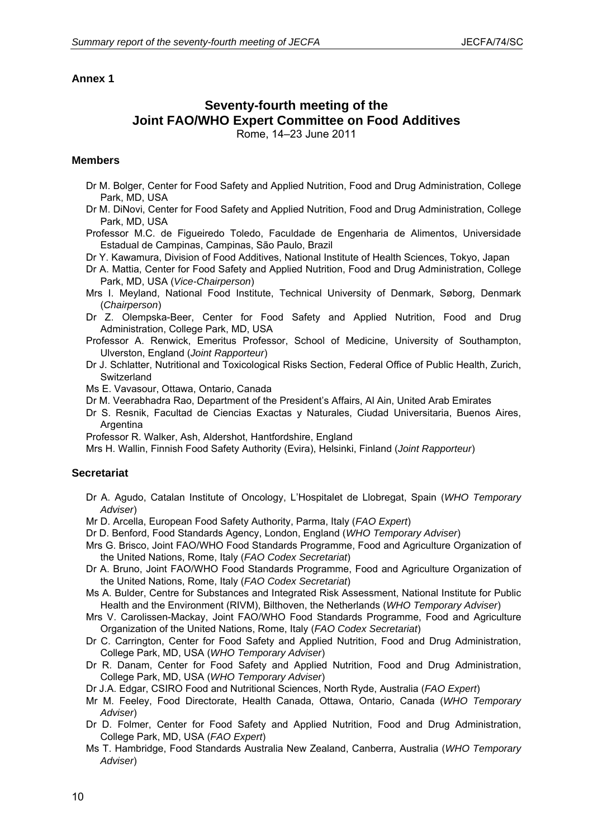# **Seventy-fourth meeting of the Joint FAO/WHO Expert Committee on Food Additives**

Rome, 14–23 June 2011

#### **Members**

- Dr M. Bolger, Center for Food Safety and Applied Nutrition, Food and Drug Administration, College Park, MD, USA
- Dr M. DiNovi, Center for Food Safety and Applied Nutrition, Food and Drug Administration, College Park, MD, USA
- Professor M.C. de Figueiredo Toledo, Faculdade de Engenharia de Alimentos, Universidade Estadual de Campinas, Campinas, São Paulo, Brazil
- Dr Y. Kawamura, Division of Food Additives, National Institute of Health Sciences, Tokyo, Japan
- Dr A. Mattia, Center for Food Safety and Applied Nutrition, Food and Drug Administration, College Park, MD, USA (*Vice-Chairperson*)
- Mrs I. Meyland, National Food Institute, Technical University of Denmark, Søborg, Denmark (*Chairperson*)
- Dr Z. Olempska-Beer, Center for Food Safety and Applied Nutrition, Food and Drug Administration, College Park, MD, USA
- Professor A. Renwick, Emeritus Professor, School of Medicine, University of Southampton, Ulverston, England (*Joint Rapporteur*)
- Dr J. Schlatter, Nutritional and Toxicological Risks Section, Federal Office of Public Health, Zurich, **Switzerland**
- Ms E. Vavasour, Ottawa, Ontario, Canada
- Dr M. Veerabhadra Rao, Department of the President's Affairs, Al Ain, United Arab Emirates
- Dr S. Resnik, Facultad de Ciencias Exactas y Naturales, Ciudad Universitaria, Buenos Aires, Argentina
- Professor R. Walker, Ash, Aldershot, Hantfordshire, England
- Mrs H. Wallin, Finnish Food Safety Authority (Evira), Helsinki, Finland (*Joint Rapporteur*)

#### **Secretariat**

- Dr A. Agudo, Catalan Institute of Oncology, L'Hospitalet de Llobregat, Spain (*WHO Temporary Adviser*)
- Mr D. Arcella, European Food Safety Authority, Parma, Italy (*FAO Expert*)
- Dr D. Benford, Food Standards Agency, London, England (*WHO Temporary Adviser*)
- Mrs G. Brisco, Joint FAO/WHO Food Standards Programme, Food and Agriculture Organization of the United Nations, Rome, Italy (*FAO Codex Secretariat*)
- Dr A. Bruno, Joint FAO/WHO Food Standards Programme, Food and Agriculture Organization of the United Nations, Rome, Italy (*FAO Codex Secretariat*)
- Ms A. Bulder, Centre for Substances and Integrated Risk Assessment, National Institute for Public Health and the Environment (RIVM), Bilthoven, the Netherlands (*WHO Temporary Adviser*)
- Mrs V. Carolissen-Mackay, Joint FAO/WHO Food Standards Programme, Food and Agriculture Organization of the United Nations, Rome, Italy (*FAO Codex Secretariat*)
- Dr C. Carrington, Center for Food Safety and Applied Nutrition, Food and Drug Administration, College Park, MD, USA (*WHO Temporary Adviser*)
- Dr R. Danam, Center for Food Safety and Applied Nutrition, Food and Drug Administration, College Park, MD, USA (*WHO Temporary Adviser*)
- Dr J.A. Edgar, CSIRO Food and Nutritional Sciences, North Ryde, Australia (*FAO Expert*)
- Mr M. Feeley, Food Directorate, Health Canada, Ottawa, Ontario, Canada (*WHO Temporary Adviser*)
- Dr D. Folmer, Center for Food Safety and Applied Nutrition, Food and Drug Administration, College Park, MD, USA (*FAO Expert*)
- Ms T. Hambridge, Food Standards Australia New Zealand, Canberra, Australia (*WHO Temporary Adviser*)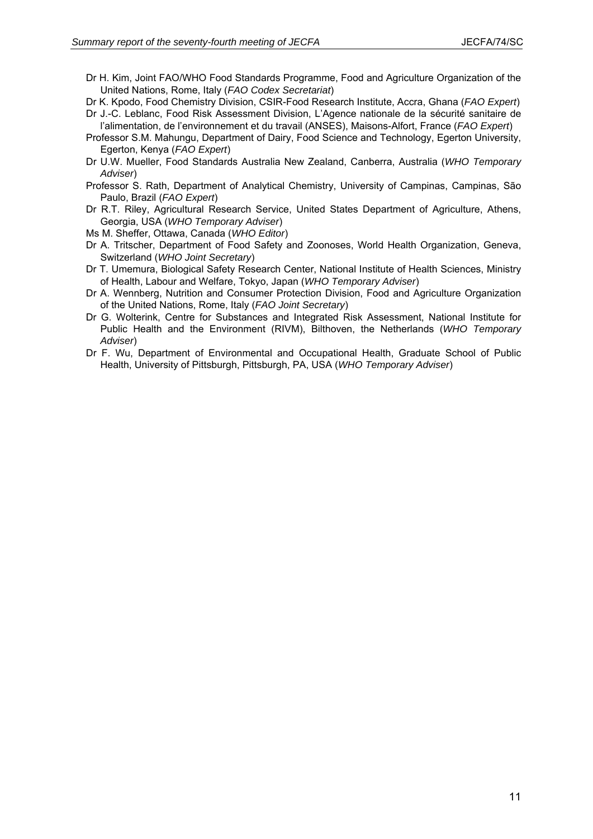- Dr H. Kim, Joint FAO/WHO Food Standards Programme, Food and Agriculture Organization of the United Nations, Rome, Italy (*FAO Codex Secretariat*)
- Dr K. Kpodo, Food Chemistry Division, CSIR-Food Research Institute, Accra, Ghana (*FAO Expert*)
- Dr J.-C. Leblanc, Food Risk Assessment Division, L'Agence nationale de la sécurité sanitaire de l'alimentation, de l'environnement et du travail (ANSES), Maisons-Alfort, France (*FAO Expert*)
- Professor S.M. Mahungu, Department of Dairy, Food Science and Technology, Egerton University, Egerton, Kenya (*FAO Expert*)
- Dr U.W. Mueller, Food Standards Australia New Zealand, Canberra, Australia (*WHO Temporary Adviser*)
- Professor S. Rath, Department of Analytical Chemistry, University of Campinas, Campinas, São Paulo, Brazil (*FAO Expert*)
- Dr R.T. Riley, Agricultural Research Service, United States Department of Agriculture, Athens, Georgia, USA (*WHO Temporary Adviser*)
- Ms M. Sheffer, Ottawa, Canada (*WHO Editor*)
- Dr A. Tritscher, Department of Food Safety and Zoonoses, World Health Organization, Geneva, Switzerland (*WHO Joint Secretary*)
- Dr T. Umemura, Biological Safety Research Center, National Institute of Health Sciences, Ministry of Health, Labour and Welfare, Tokyo, Japan (*WHO Temporary Adviser*)
- Dr A. Wennberg, Nutrition and Consumer Protection Division, Food and Agriculture Organization of the United Nations, Rome, Italy (*FAO Joint Secretary*)
- Dr G. Wolterink, Centre for Substances and Integrated Risk Assessment, National Institute for Public Health and the Environment (RIVM), Bilthoven, the Netherlands (*WHO Temporary Adviser*)
- Dr F. Wu, Department of Environmental and Occupational Health, Graduate School of Public Health, University of Pittsburgh, Pittsburgh, PA, USA (*WHO Temporary Adviser*)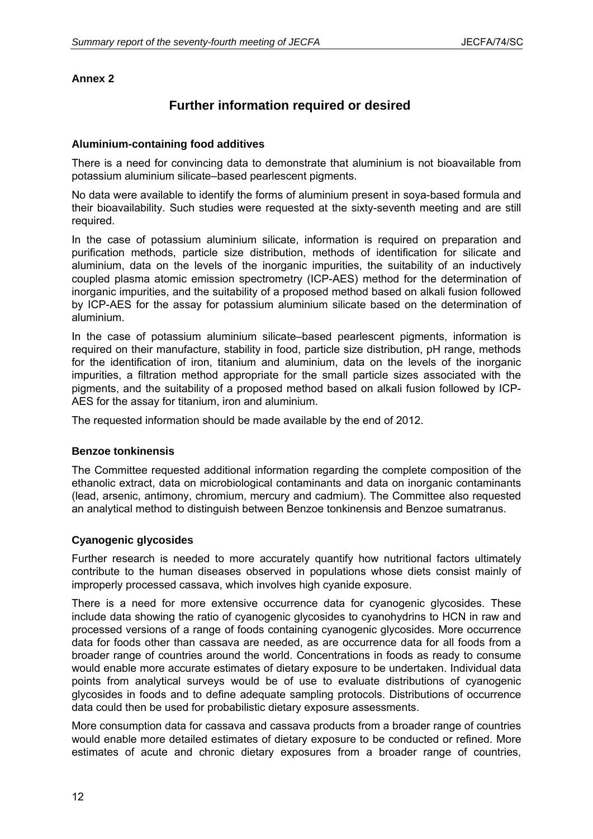# **Further information required or desired**

### **Aluminium-containing food additives**

There is a need for convincing data to demonstrate that aluminium is not bioavailable from potassium aluminium silicate–based pearlescent pigments.

No data were available to identify the forms of aluminium present in soya-based formula and their bioavailability. Such studies were requested at the sixty-seventh meeting and are still required.

In the case of potassium aluminium silicate, information is required on preparation and purification methods, particle size distribution, methods of identification for silicate and aluminium, data on the levels of the inorganic impurities, the suitability of an inductively coupled plasma atomic emission spectrometry (ICP-AES) method for the determination of inorganic impurities, and the suitability of a proposed method based on alkali fusion followed by ICP-AES for the assay for potassium aluminium silicate based on the determination of aluminium.

In the case of potassium aluminium silicate–based pearlescent pigments, information is required on their manufacture, stability in food, particle size distribution, pH range, methods for the identification of iron, titanium and aluminium, data on the levels of the inorganic impurities, a filtration method appropriate for the small particle sizes associated with the pigments, and the suitability of a proposed method based on alkali fusion followed by ICP-AES for the assay for titanium, iron and aluminium.

The requested information should be made available by the end of 2012.

#### **Benzoe tonkinensis**

The Committee requested additional information regarding the complete composition of the ethanolic extract, data on microbiological contaminants and data on inorganic contaminants (lead, arsenic, antimony, chromium, mercury and cadmium). The Committee also requested an analytical method to distinguish between Benzoe tonkinensis and Benzoe sumatranus.

## **Cyanogenic glycosides**

Further research is needed to more accurately quantify how nutritional factors ultimately contribute to the human diseases observed in populations whose diets consist mainly of improperly processed cassava, which involves high cyanide exposure.

There is a need for more extensive occurrence data for cyanogenic glycosides. These include data showing the ratio of cyanogenic glycosides to cyanohydrins to HCN in raw and processed versions of a range of foods containing cyanogenic glycosides. More occurrence data for foods other than cassava are needed, as are occurrence data for all foods from a broader range of countries around the world. Concentrations in foods as ready to consume would enable more accurate estimates of dietary exposure to be undertaken. Individual data points from analytical surveys would be of use to evaluate distributions of cyanogenic glycosides in foods and to define adequate sampling protocols. Distributions of occurrence data could then be used for probabilistic dietary exposure assessments.

More consumption data for cassava and cassava products from a broader range of countries would enable more detailed estimates of dietary exposure to be conducted or refined. More estimates of acute and chronic dietary exposures from a broader range of countries,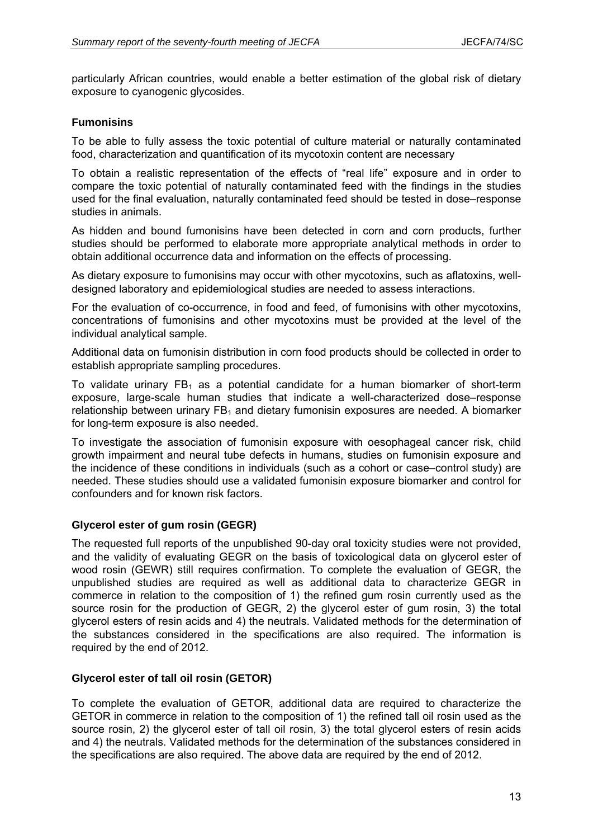particularly African countries, would enable a better estimation of the global risk of dietary exposure to cyanogenic glycosides.

#### **Fumonisins**

To be able to fully assess the toxic potential of culture material or naturally contaminated food, characterization and quantification of its mycotoxin content are necessary

To obtain a realistic representation of the effects of "real life" exposure and in order to compare the toxic potential of naturally contaminated feed with the findings in the studies used for the final evaluation, naturally contaminated feed should be tested in dose–response studies in animals.

As hidden and bound fumonisins have been detected in corn and corn products, further studies should be performed to elaborate more appropriate analytical methods in order to obtain additional occurrence data and information on the effects of processing.

As dietary exposure to fumonisins may occur with other mycotoxins, such as aflatoxins, welldesigned laboratory and epidemiological studies are needed to assess interactions.

For the evaluation of co-occurrence, in food and feed, of fumonisins with other mycotoxins, concentrations of fumonisins and other mycotoxins must be provided at the level of the individual analytical sample.

Additional data on fumonisin distribution in corn food products should be collected in order to establish appropriate sampling procedures.

To validate urinary  $FB_1$  as a potential candidate for a human biomarker of short-term exposure, large-scale human studies that indicate a well-characterized dose–response relationship between urinary  $FB<sub>1</sub>$  and dietary fumonisin exposures are needed. A biomarker for long-term exposure is also needed.

To investigate the association of fumonisin exposure with oesophageal cancer risk, child growth impairment and neural tube defects in humans, studies on fumonisin exposure and the incidence of these conditions in individuals (such as a cohort or case–control study) are needed. These studies should use a validated fumonisin exposure biomarker and control for confounders and for known risk factors.

## **Glycerol ester of gum rosin (GEGR)**

The requested full reports of the unpublished 90-day oral toxicity studies were not provided, and the validity of evaluating GEGR on the basis of toxicological data on glycerol ester of wood rosin (GEWR) still requires confirmation. To complete the evaluation of GEGR, the unpublished studies are required as well as additional data to characterize GEGR in commerce in relation to the composition of 1) the refined gum rosin currently used as the source rosin for the production of GEGR, 2) the glycerol ester of gum rosin, 3) the total glycerol esters of resin acids and 4) the neutrals. Validated methods for the determination of the substances considered in the specifications are also required. The information is required by the end of 2012.

#### **Glycerol ester of tall oil rosin (GETOR)**

To complete the evaluation of GETOR, additional data are required to characterize the GETOR in commerce in relation to the composition of 1) the refined tall oil rosin used as the source rosin, 2) the glycerol ester of tall oil rosin, 3) the total glycerol esters of resin acids and 4) the neutrals. Validated methods for the determination of the substances considered in the specifications are also required. The above data are required by the end of 2012.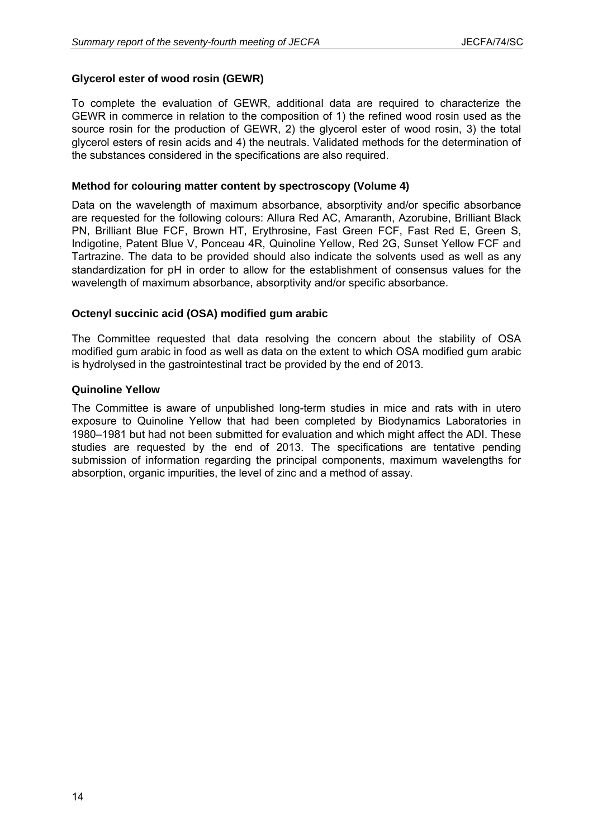### **Glycerol ester of wood rosin (GEWR)**

To complete the evaluation of GEWR, additional data are required to characterize the GEWR in commerce in relation to the composition of 1) the refined wood rosin used as the source rosin for the production of GEWR, 2) the glycerol ester of wood rosin, 3) the total glycerol esters of resin acids and 4) the neutrals. Validated methods for the determination of the substances considered in the specifications are also required.

#### **Method for colouring matter content by spectroscopy (Volume 4)**

Data on the wavelength of maximum absorbance, absorptivity and/or specific absorbance are requested for the following colours: Allura Red AC, Amaranth, Azorubine, Brilliant Black PN, Brilliant Blue FCF, Brown HT, Erythrosine, Fast Green FCF, Fast Red E, Green S, Indigotine, Patent Blue V, Ponceau 4R, Quinoline Yellow, Red 2G, Sunset Yellow FCF and Tartrazine. The data to be provided should also indicate the solvents used as well as any standardization for pH in order to allow for the establishment of consensus values for the wavelength of maximum absorbance, absorptivity and/or specific absorbance.

#### **Octenyl succinic acid (OSA) modified gum arabic**

The Committee requested that data resolving the concern about the stability of OSA modified gum arabic in food as well as data on the extent to which OSA modified gum arabic is hydrolysed in the gastrointestinal tract be provided by the end of 2013.

#### **Quinoline Yellow**

The Committee is aware of unpublished long-term studies in mice and rats with in utero exposure to Quinoline Yellow that had been completed by Biodynamics Laboratories in 1980–1981 but had not been submitted for evaluation and which might affect the ADI. These studies are requested by the end of 2013. The specifications are tentative pending submission of information regarding the principal components, maximum wavelengths for absorption, organic impurities, the level of zinc and a method of assay.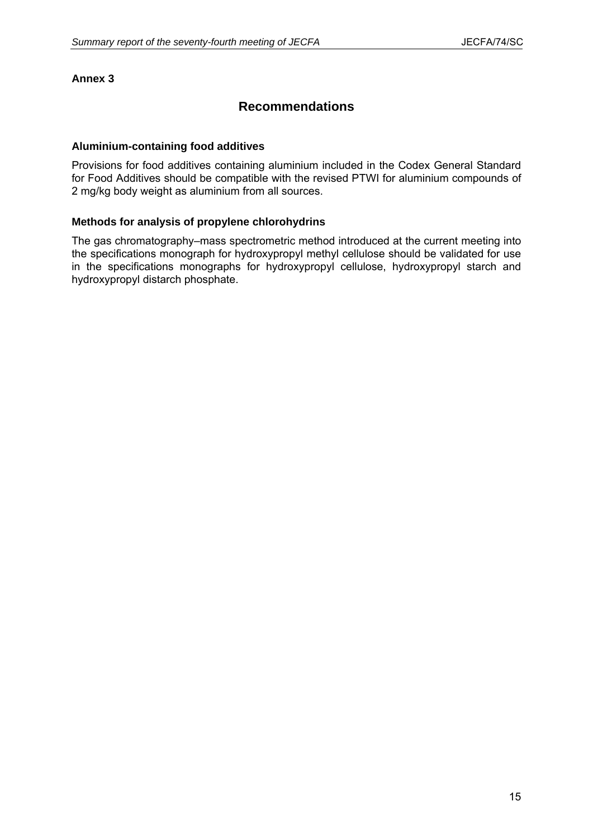# **Recommendations**

#### **Aluminium-containing food additives**

Provisions for food additives containing aluminium included in the Codex General Standard for Food Additives should be compatible with the revised PTWI for aluminium compounds of 2 mg/kg body weight as aluminium from all sources.

#### **Methods for analysis of propylene chlorohydrins**

The gas chromatography–mass spectrometric method introduced at the current meeting into the specifications monograph for hydroxypropyl methyl cellulose should be validated for use in the specifications monographs for hydroxypropyl cellulose, hydroxypropyl starch and hydroxypropyl distarch phosphate.